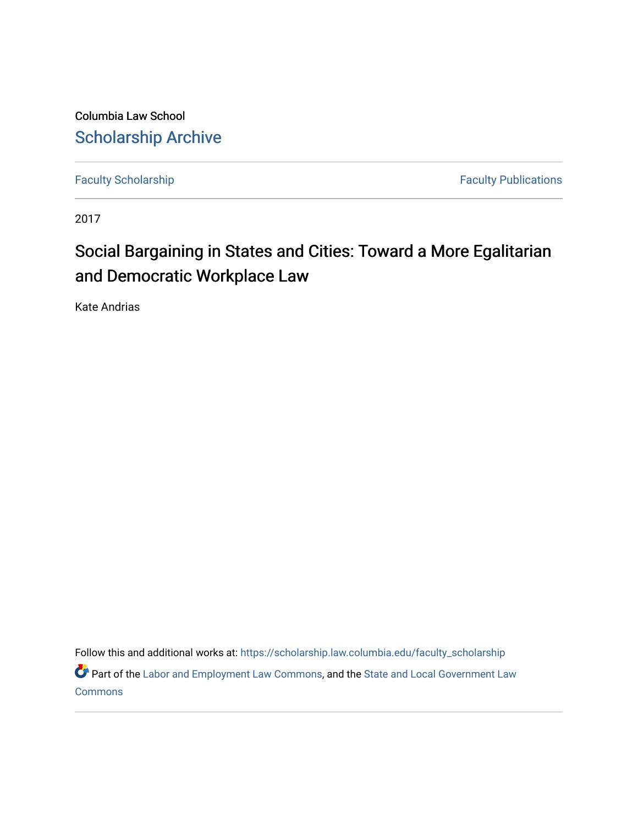Columbia Law School [Scholarship Archive](https://scholarship.law.columbia.edu/) 

[Faculty Scholarship](https://scholarship.law.columbia.edu/faculty_scholarship) **Faculty Scholarship** Faculty Publications

2017

# Social Bargaining in States and Cities: Toward a More Egalitarian and Democratic Workplace Law

Kate Andrias

Follow this and additional works at: [https://scholarship.law.columbia.edu/faculty\\_scholarship](https://scholarship.law.columbia.edu/faculty_scholarship?utm_source=scholarship.law.columbia.edu%2Ffaculty_scholarship%2F2832&utm_medium=PDF&utm_campaign=PDFCoverPages)

Part of the [Labor and Employment Law Commons](http://network.bepress.com/hgg/discipline/909?utm_source=scholarship.law.columbia.edu%2Ffaculty_scholarship%2F2832&utm_medium=PDF&utm_campaign=PDFCoverPages), and the State and Local Government Law [Commons](http://network.bepress.com/hgg/discipline/879?utm_source=scholarship.law.columbia.edu%2Ffaculty_scholarship%2F2832&utm_medium=PDF&utm_campaign=PDFCoverPages)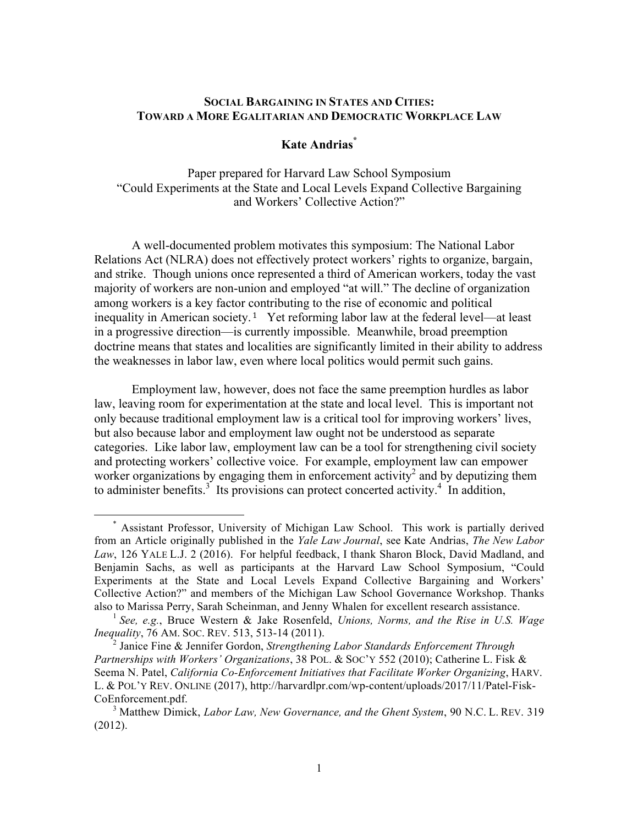### **SOCIAL BARGAINING IN STATES AND CITIES: TOWARD A MORE EGALITARIAN AND DEMOCRATIC WORKPLACE LAW**

## **Kate Andrias\***

Paper prepared for Harvard Law School Symposium "Could Experiments at the State and Local Levels Expand Collective Bargaining and Workers' Collective Action?"

A well-documented problem motivates this symposium: The National Labor Relations Act (NLRA) does not effectively protect workers' rights to organize, bargain, and strike. Though unions once represented a third of American workers, today the vast majority of workers are non-union and employed "at will." The decline of organization among workers is a key factor contributing to the rise of economic and political inequality in American society. <sup>1</sup> Yet reforming labor law at the federal level—at least in a progressive direction—is currently impossible. Meanwhile, broad preemption doctrine means that states and localities are significantly limited in their ability to address the weaknesses in labor law, even where local politics would permit such gains.

Employment law, however, does not face the same preemption hurdles as labor law, leaving room for experimentation at the state and local level. This is important not only because traditional employment law is a critical tool for improving workers' lives, but also because labor and employment law ought not be understood as separate categories. Like labor law, employment law can be a tool for strengthening civil society and protecting workers' collective voice. For example, employment law can empower worker organizations by engaging them in enforcement activity<sup>2</sup> and by deputizing them to administer benefits.<sup>3</sup> Its provisions can protect concerted activity.<sup>4</sup> In addition,

<sup>\*</sup> Assistant Professor, University of Michigan Law School. This work is partially derived from an Article originally published in the *Yale Law Journal*, see Kate Andrias, *The New Labor Law*, 126 YALE L.J. 2 (2016). For helpful feedback, I thank Sharon Block, David Madland, and Benjamin Sachs, as well as participants at the Harvard Law School Symposium, "Could Experiments at the State and Local Levels Expand Collective Bargaining and Workers' Collective Action?" and members of the Michigan Law School Governance Workshop. Thanks also to Marissa Perry, Sarah Scheinman, and Jenny Whalen for excellent research assistance.

<sup>1</sup> *See, e.g.*, Bruce Western & Jake Rosenfeld, *Unions, Norms, and the Rise in U.S. Wage Inequality*, 76 AM. SOC. REV. 513, 513-14 (2011).

<sup>2</sup> Janice Fine & Jennifer Gordon, *Strengthening Labor Standards Enforcement Through Partnerships with Workers' Organizations*, 38 POL. & SOC'Y 552 (2010); Catherine L. Fisk & Seema N. Patel, *California Co-Enforcement Initiatives that Facilitate Worker Organizing*, HARV. L. & POL'Y REV. ONLINE (2017), http://harvardlpr.com/wp-content/uploads/2017/11/Patel-Fisk-CoEnforcement.pdf. <sup>3</sup> Matthew Dimick, *Labor Law, New Governance, and the Ghent System*, 90 N.C. L. REV. 319

<sup>(2012).</sup>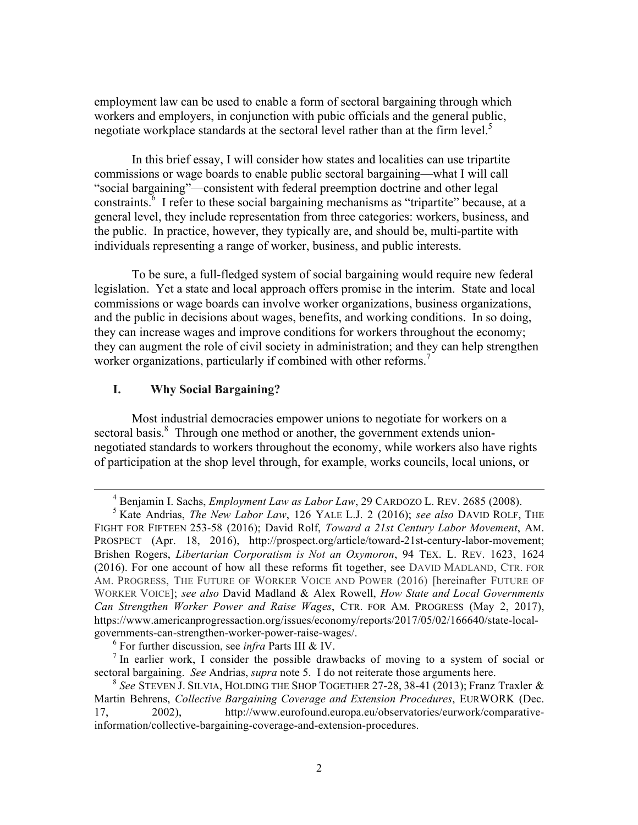employment law can be used to enable a form of sectoral bargaining through which workers and employers, in conjunction with pubic officials and the general public, negotiate workplace standards at the sectoral level rather than at the firm level. 5

In this brief essay, I will consider how states and localities can use tripartite commissions or wage boards to enable public sectoral bargaining—what I will call "social bargaining"—consistent with federal preemption doctrine and other legal constraints.<sup>6</sup> I refer to these social bargaining mechanisms as "tripartite" because, at a general level, they include representation from three categories: workers, business, and the public. In practice, however, they typically are, and should be, multi-partite with individuals representing a range of worker, business, and public interests.

To be sure, a full-fledged system of social bargaining would require new federal legislation. Yet a state and local approach offers promise in the interim. State and local commissions or wage boards can involve worker organizations, business organizations, and the public in decisions about wages, benefits, and working conditions. In so doing, they can increase wages and improve conditions for workers throughout the economy; they can augment the role of civil society in administration; and they can help strengthen worker organizations, particularly if combined with other reforms.<sup>7</sup>

### **I. Why Social Bargaining?**

Most industrial democracies empower unions to negotiate for workers on a sectoral basis.<sup>8</sup> Through one method or another, the government extends unionnegotiated standards to workers throughout the economy, while workers also have rights of participation at the shop level through, for example, works councils, local unions, or

 <sup>4</sup> Benjamin I. Sachs, *Employment Law as Labor Law*, 29 CARDOZO L. REV. 2685 (2008).

<sup>5</sup> Kate Andrias, *The New Labor Law*, 126 YALE L.J. 2 (2016); *see also* DAVID ROLF, THE FIGHT FOR FIFTEEN 253-58 (2016); David Rolf, *Toward a 21st Century Labor Movement*, AM. PROSPECT (Apr. 18, 2016), http://prospect.org/article/toward-21st-century-labor-movement; Brishen Rogers, *Libertarian Corporatism is Not an Oxymoron*, 94 TEX. L. REV. 1623, 1624 (2016). For one account of how all these reforms fit together, see DAVID MADLAND, CTR. FOR AM. PROGRESS, THE FUTURE OF WORKER VOICE AND POWER (2016) [hereinafter FUTURE OF WORKER VOICE]; *see also* David Madland & Alex Rowell, *How State and Local Governments Can Strengthen Worker Power and Raise Wages*, CTR. FOR AM. PROGRESS (May 2, 2017), https://www.americanprogressaction.org/issues/economy/reports/2017/05/02/166640/state-localgovernments-can-strengthen-worker-power-raise-wages/.

<sup>&</sup>lt;sup>6</sup> For further discussion, see *infra* Parts III & IV.<br><sup>7</sup> In earlier work, I consider the possible drawbacks of moving to a system of social or sectoral bargaining. *See* Andrias, *supra* note 5. I do not reiterate those arguments here.

<sup>8</sup> *See* STEVEN J. SILVIA, HOLDING THE SHOP TOGETHER 27-28, 38-41 (2013); Franz Traxler & Martin Behrens, *Collective Bargaining Coverage and Extension Procedures*, EURWORK (Dec. 17, 2002), http://www.eurofound.europa.eu/observatories/eurwork/comparativeinformation/collective-bargaining-coverage-and-extension-procedures.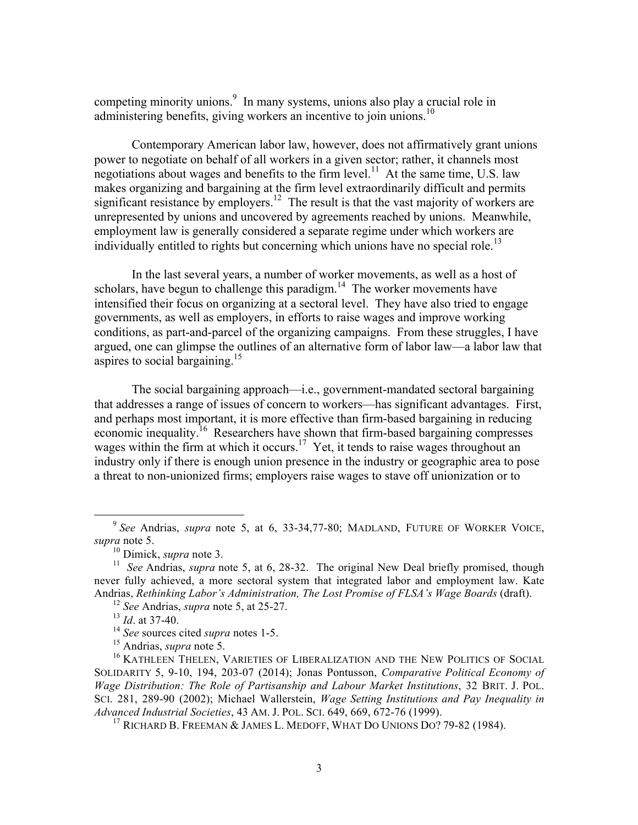competing minority unions. 9 In many systems, unions also play a crucial role in administering benefits, giving workers an incentive to join unions.<sup>10</sup>

Contemporary American labor law, however, does not affirmatively grant unions power to negotiate on behalf of all workers in a given sector; rather, it channels most negotiations about wages and benefits to the firm level.<sup>11</sup> At the same time, U.S. law makes organizing and bargaining at the firm level extraordinarily difficult and permits significant resistance by employers.<sup>12</sup> The result is that the vast majority of workers are unrepresented by unions and uncovered by agreements reached by unions. Meanwhile, employment law is generally considered a separate regime under which workers are individually entitled to rights but concerning which unions have no special role.<sup>13</sup>

In the last several years, a number of worker movements, as well as a host of scholars, have begun to challenge this paradigm.<sup>14</sup> The worker movements have intensified their focus on organizing at a sectoral level. They have also tried to engage governments, as well as employers, in efforts to raise wages and improve working conditions, as part-and-parcel of the organizing campaigns. From these struggles, I have argued, one can glimpse the outlines of an alternative form of labor law—a labor law that aspires to social bargaining.<sup>15</sup>

The social bargaining approach—i.e., government-mandated sectoral bargaining that addresses a range of issues of concern to workers—has significant advantages. First, and perhaps most important, it is more effective than firm-based bargaining in reducing economic inequality.<sup>16</sup> Researchers have shown that firm-based bargaining compresses wages within the firm at which it occurs.<sup>17</sup> Yet, it tends to raise wages throughout an industry only if there is enough union presence in the industry or geographic area to pose a threat to non-unionized firms; employers raise wages to stave off unionization or to

<sup>9</sup> *See* Andrias, *supra* note 5, at 6, 33-34,77-80; MADLAND, FUTURE OF WORKER VOICE,

<sup>&</sup>lt;sup>10</sup> Dimick, *supra* note 3.<br><sup>11</sup> See Andrias, *supra* note 5, at 6, 28-32. The original New Deal briefly promised, though never fully achieved, a more sectoral system that integrated labor and employment law. Kate Andrias, *Rethinking Labor's Administration, The Lost Promise of FLSA's Wage Boards* (draft).

<sup>12</sup> *See* Andrias, *supra* note 5, at 25-27.

 $13 \text{ Id.}$  at 37-40.<br><sup>14</sup> *See* sources cited *supra* notes 1-5.

<sup>&</sup>lt;sup>15</sup> Andrias, *supra* note 5.<br><sup>16</sup> KATHLEEN THELEN, VARIETIES OF LIBERALIZATION AND THE NEW POLITICS OF SOCIAL SOLIDARITY 5, 9-10, 194, 203-07 (2014); Jonas Pontusson, *Comparative Political Economy of Wage Distribution: The Role of Partisanship and Labour Market Institutions*, 32 BRIT. J. POL. SCI. 281, 289-90 (2002); Michael Wallerstein, *Wage Setting Institutions and Pay Inequality in Advanced Industrial Societies*, 43 AM. J. POL. SCI. 649, 669, 672-76 (1999).

<sup>&</sup>lt;sup>17</sup> RICHARD B. FREEMAN & JAMES L. MEDOFF, WHAT DO UNIONS DO? 79-82 (1984).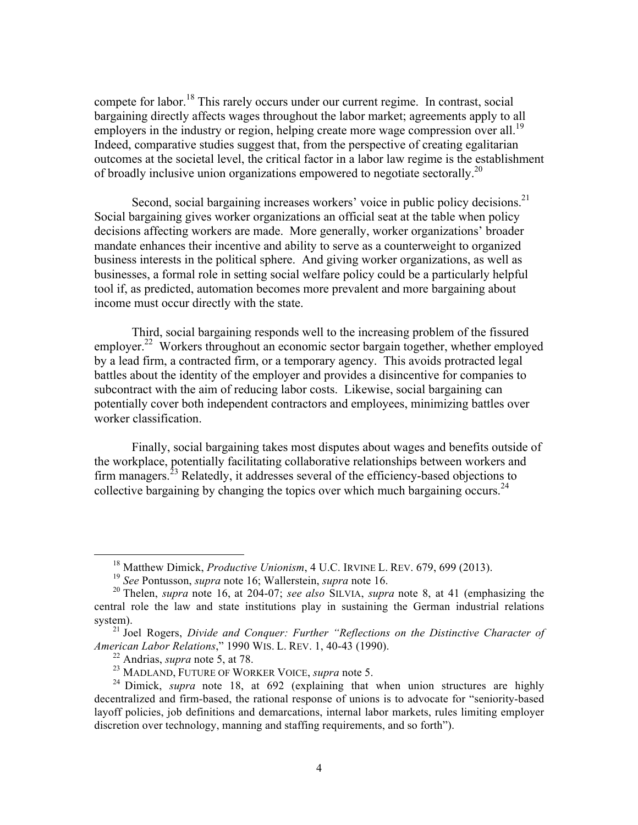compete for labor.<sup>18</sup> This rarely occurs under our current regime. In contrast, social bargaining directly affects wages throughout the labor market; agreements apply to all employers in the industry or region, helping create more wage compression over all.<sup>19</sup> Indeed, comparative studies suggest that, from the perspective of creating egalitarian outcomes at the societal level, the critical factor in a labor law regime is the establishment of broadly inclusive union organizations empowered to negotiate sectorally.<sup>20</sup>

Second, social bargaining increases workers' voice in public policy decisions.<sup>21</sup> Social bargaining gives worker organizations an official seat at the table when policy decisions affecting workers are made. More generally, worker organizations' broader mandate enhances their incentive and ability to serve as a counterweight to organized business interests in the political sphere. And giving worker organizations, as well as businesses, a formal role in setting social welfare policy could be a particularly helpful tool if, as predicted, automation becomes more prevalent and more bargaining about income must occur directly with the state.

Third, social bargaining responds well to the increasing problem of the fissured employer.<sup>22</sup> Workers throughout an economic sector bargain together, whether employed by a lead firm, a contracted firm, or a temporary agency. This avoids protracted legal battles about the identity of the employer and provides a disincentive for companies to subcontract with the aim of reducing labor costs. Likewise, social bargaining can potentially cover both independent contractors and employees, minimizing battles over worker classification.

Finally, social bargaining takes most disputes about wages and benefits outside of the workplace, potentially facilitating collaborative relationships between workers and firm managers.<sup>23</sup> Relatedly, it addresses several of the efficiency-based objections to collective bargaining by changing the topics over which much bargaining occurs.<sup>24</sup>

<sup>18</sup> Matthew Dimick, *Productive Unionism*, 4 U.C. IRVINE L. REV. 679, 699 (2013).

<sup>19</sup> *See* Pontusson, *supra* note 16; Wallerstein, *supra* note 16. <sup>20</sup> Thelen, *supra* note 16, at 204-07; *see also* SILVIA, *supra* note 8, at 41 (emphasizing the central role the law and state institutions play in sustaining the German industrial relations system).

<sup>&</sup>lt;sup>21</sup> Joel Rogers, *Divide and Conquer: Further "Reflections on the Distinctive Character of American Labor Relations*," 1990 WIS. L. REV. 1, 40-43 (1990).

<sup>&</sup>lt;sup>22</sup> Andrias, *supra* note 5, at 78.<br><sup>23</sup> MADLAND, FUTURE OF WORKER VOICE, *supra* note 5.

<sup>&</sup>lt;sup>24</sup> Dimick, *supra* note 18, at 692 (explaining that when union structures are highly decentralized and firm-based, the rational response of unions is to advocate for "seniority-based layoff policies, job definitions and demarcations, internal labor markets, rules limiting employer discretion over technology, manning and staffing requirements, and so forth").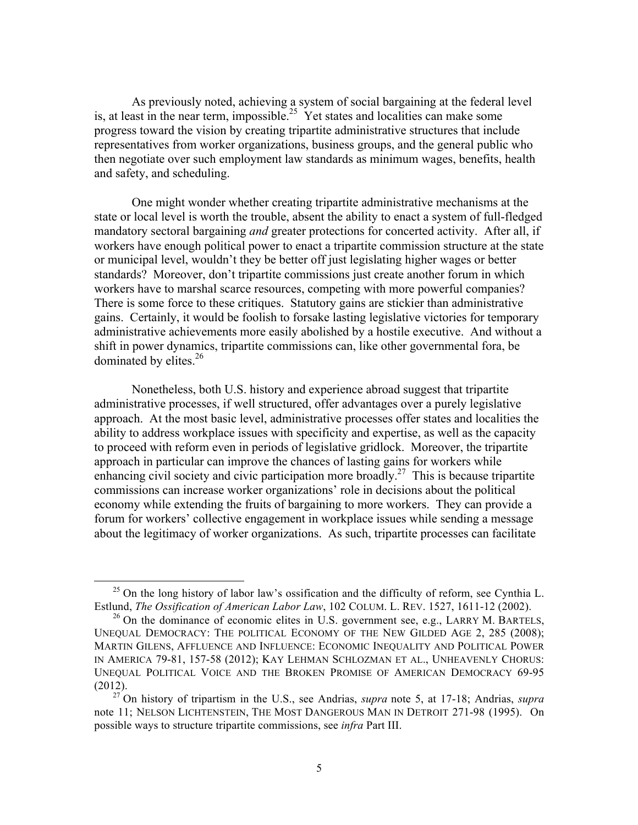As previously noted, achieving a system of social bargaining at the federal level is, at least in the near term, impossible.<sup>25</sup> Yet states and localities can make some progress toward the vision by creating tripartite administrative structures that include representatives from worker organizations, business groups, and the general public who then negotiate over such employment law standards as minimum wages, benefits, health and safety, and scheduling.

One might wonder whether creating tripartite administrative mechanisms at the state or local level is worth the trouble, absent the ability to enact a system of full-fledged mandatory sectoral bargaining *and* greater protections for concerted activity. After all, if workers have enough political power to enact a tripartite commission structure at the state or municipal level, wouldn't they be better off just legislating higher wages or better standards? Moreover, don't tripartite commissions just create another forum in which workers have to marshal scarce resources, competing with more powerful companies? There is some force to these critiques. Statutory gains are stickier than administrative gains. Certainly, it would be foolish to forsake lasting legislative victories for temporary administrative achievements more easily abolished by a hostile executive. And without a shift in power dynamics, tripartite commissions can, like other governmental fora, be dominated by elites.<sup>26</sup>

Nonetheless, both U.S. history and experience abroad suggest that tripartite administrative processes, if well structured, offer advantages over a purely legislative approach. At the most basic level, administrative processes offer states and localities the ability to address workplace issues with specificity and expertise, as well as the capacity to proceed with reform even in periods of legislative gridlock. Moreover, the tripartite approach in particular can improve the chances of lasting gains for workers while enhancing civil society and civic participation more broadly.<sup>27</sup> This is because tripartite commissions can increase worker organizations' role in decisions about the political economy while extending the fruits of bargaining to more workers. They can provide a forum for workers' collective engagement in workplace issues while sending a message about the legitimacy of worker organizations. As such, tripartite processes can facilitate

 $^{25}$  On the long history of labor law's ossification and the difficulty of reform, see Cynthia L. Estlund, *The Ossification of American Labor Law*, 102 COLUM. L. REV. 1527, 1611-12 (2002).

 $^{26}$  On the dominance of economic elites in U.S. government see, e.g., LARRY M. BARTELS, UNEQUAL DEMOCRACY: THE POLITICAL ECONOMY OF THE NEW GILDED AGE 2, 285 (2008); MARTIN GILENS, AFFLUENCE AND INFLUENCE: ECONOMIC INEQUALITY AND POLITICAL POWER IN AMERICA 79-81, 157-58 (2012); KAY LEHMAN SCHLOZMAN ET AL., UNHEAVENLY CHORUS: UNEQUAL POLITICAL VOICE AND THE BROKEN PROMISE OF AMERICAN DEMOCRACY 69-95 (2012).

<sup>27</sup> On history of tripartism in the U.S., see Andrias, *supra* note 5, at 17-18; Andrias, *supra*  note 11; NELSON LICHTENSTEIN, THE MOST DANGEROUS MAN IN DETROIT 271-98 (1995). On possible ways to structure tripartite commissions, see *infra* Part III.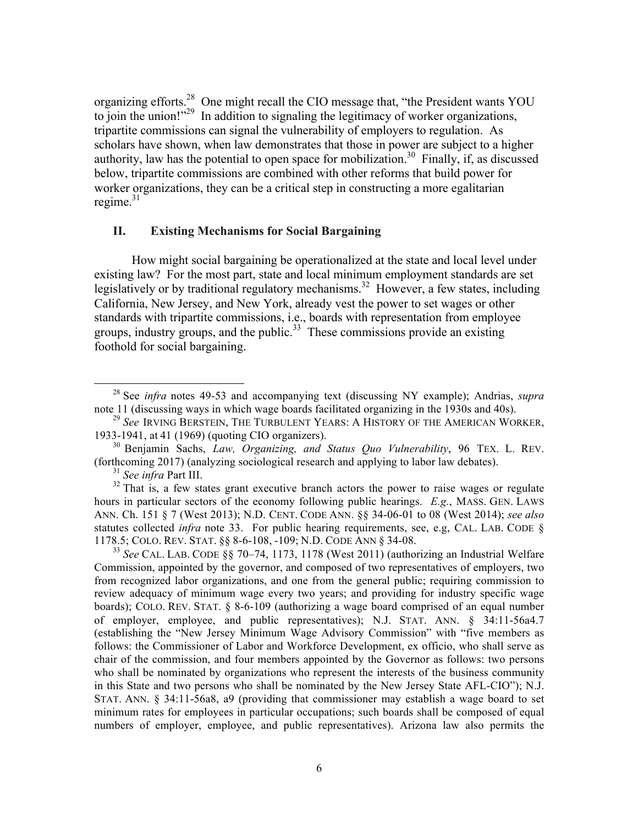organizing efforts.28 One might recall the CIO message that, "the President wants YOU to join the union!"<sup>29</sup> In addition to signaling the legitimacy of worker organizations, tripartite commissions can signal the vulnerability of employers to regulation. As scholars have shown, when law demonstrates that those in power are subject to a higher authority, law has the potential to open space for mobilization.<sup>30</sup> Finally, if, as discussed below, tripartite commissions are combined with other reforms that build power for worker organizations, they can be a critical step in constructing a more egalitarian regime. $31$ 

### **II. Existing Mechanisms for Social Bargaining**

How might social bargaining be operationalized at the state and local level under existing law? For the most part, state and local minimum employment standards are set legislatively or by traditional regulatory mechanisms.<sup>32</sup> However, a few states, including California, New Jersey, and New York, already vest the power to set wages or other standards with tripartite commissions, i.e., boards with representation from employee groups, industry groups, and the public.<sup>33</sup> These commissions provide an existing foothold for social bargaining.

<sup>31</sup> *See infra* Part III.

<sup>28</sup> See *infra* notes 49-53 and accompanying text (discussing NY example); Andrias, *supra*  note 11 (discussing ways in which wage boards facilitated organizing in the 1930s and 40s).

<sup>29</sup> *See* IRVING BERSTEIN, THE TURBULENT YEARS: A HISTORY OF THE AMERICAN WORKER, 1933-1941, at 41 (1969) (quoting CIO organizers).

<sup>30</sup> Benjamin Sachs, *Law, Organizing, and Status Quo Vulnerability*, 96 TEX. L. REV. (forthcoming 2017) (analyzing sociological research and applying to labor law debates).

 $32$  That is, a few states grant executive branch actors the power to raise wages or regulate hours in particular sectors of the economy following public hearings. *E.g.*, MASS. GEN. LAWS ANN. Ch. 151 § 7 (West 2013); N.D. CENT. CODE ANN. §§ 34-06-01 to 08 (West 2014); *see also*  statutes collected *infra* note 33. For public hearing requirements, see, e.g, CAL. LAB. CODE § 1178.5; COLO. REV. STAT. §§ 8-6-108, -109; N.D. CODE ANN § 34-08. <sup>33</sup> *See* CAL. LAB. CODE §§ 70–74, 1173, 1178 (West 2011) (authorizing an Industrial Welfare

Commission, appointed by the governor, and composed of two representatives of employers, two from recognized labor organizations, and one from the general public; requiring commission to review adequacy of minimum wage every two years; and providing for industry specific wage boards); COLO. REV. STAT. § 8-6-109 (authorizing a wage board comprised of an equal number of employer, employee, and public representatives); N.J. STAT. ANN. § 34:11-56a4.7 (establishing the "New Jersey Minimum Wage Advisory Commission" with "five members as follows: the Commissioner of Labor and Workforce Development, ex officio, who shall serve as chair of the commission, and four members appointed by the Governor as follows: two persons who shall be nominated by organizations who represent the interests of the business community in this State and two persons who shall be nominated by the New Jersey State AFL-CIO"); N.J. STAT. ANN. § 34:11-56a8, a9 (providing that commissioner may establish a wage board to set minimum rates for employees in particular occupations; such boards shall be composed of equal numbers of employer, employee, and public representatives). Arizona law also permits the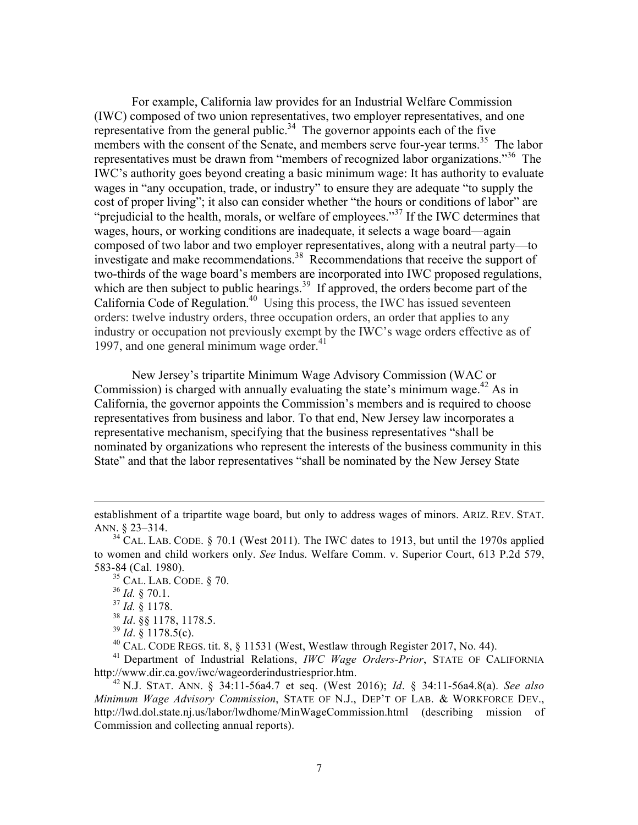For example, California law provides for an Industrial Welfare Commission (IWC) composed of two union representatives, two employer representatives, and one representative from the general public.<sup>34</sup> The governor appoints each of the five members with the consent of the Senate, and members serve four-year terms.<sup>35</sup> The labor representatives must be drawn from "members of recognized labor organizations."<sup>36</sup> The IWC's authority goes beyond creating a basic minimum wage: It has authority to evaluate wages in "any occupation, trade, or industry" to ensure they are adequate "to supply the cost of proper living"; it also can consider whether "the hours or conditions of labor" are "prejudicial to the health, morals, or welfare of employees."<sup>37</sup> If the IWC determines that wages, hours, or working conditions are inadequate, it selects a wage board—again composed of two labor and two employer representatives, along with a neutral party—to investigate and make recommendations.<sup>38</sup> Recommendations that receive the support of two-thirds of the wage board's members are incorporated into IWC proposed regulations, which are then subject to public hearings.<sup>39</sup> If approved, the orders become part of the California Code of Regulation.<sup>40</sup> Using this process, the IWC has issued seventeen orders: twelve industry orders, three occupation orders, an order that applies to any industry or occupation not previously exempt by the IWC's wage orders effective as of 1997, and one general minimum wage order. $41$ 

New Jersey's tripartite Minimum Wage Advisory Commission (WAC or Commission) is charged with annually evaluating the state's minimum wage. <sup>42</sup> As in California, the governor appoints the Commission's members and is required to choose representatives from business and labor. To that end, New Jersey law incorporates a representative mechanism, specifying that the business representatives "shall be nominated by organizations who represent the interests of the business community in this State" and that the labor representatives "shall be nominated by the New Jersey State

<u> 1989 - Andrea San Andrea San Andrea San Andrea San Andrea San Andrea San Andrea San Andrea San Andrea San An</u>

 $35$  CAL. LAB. CODE. § 70.

 $^{40}$  CAL. CODE REGS. tit. 8,  $\S$  11531 (West, Westlaw through Register 2017, No. 44).

<sup>41</sup> Department of Industrial Relations, *IWC Wage Orders-Prior*, STATE OF CALIFORNIA http://www.dir.ca.gov/iwc/wageorderindustriesprior.htm.

establishment of a tripartite wage board, but only to address wages of minors. ARIZ. REV. STAT. ANN. § 23–314.

 $34^{\circ}$  CAL. LAB. CODE. § 70.1 (West 2011). The IWC dates to 1913, but until the 1970s applied to women and child workers only. *See* Indus. Welfare Comm. v. Superior Court, 613 P.2d 579, 583-84 (Cal. 1980).

<sup>36</sup> *Id.* § 70.1.

<sup>37</sup> *Id.* § 1178.

<sup>38</sup> *Id*. §§ 1178, 1178.5.

<sup>39</sup> *Id*. § 1178.5(c).

<sup>42</sup> N.J. STAT. ANN. § 34:11-56a4.7 et seq. (West 2016); *Id*. § 34:11-56a4.8(a). *See also Minimum Wage Advisory Commission*, STATE OF N.J., DEP'T OF LAB. & WORKFORCE DEV., http://lwd.dol.state.nj.us/labor/lwdhome/MinWageCommission.html (describing mission of Commission and collecting annual reports).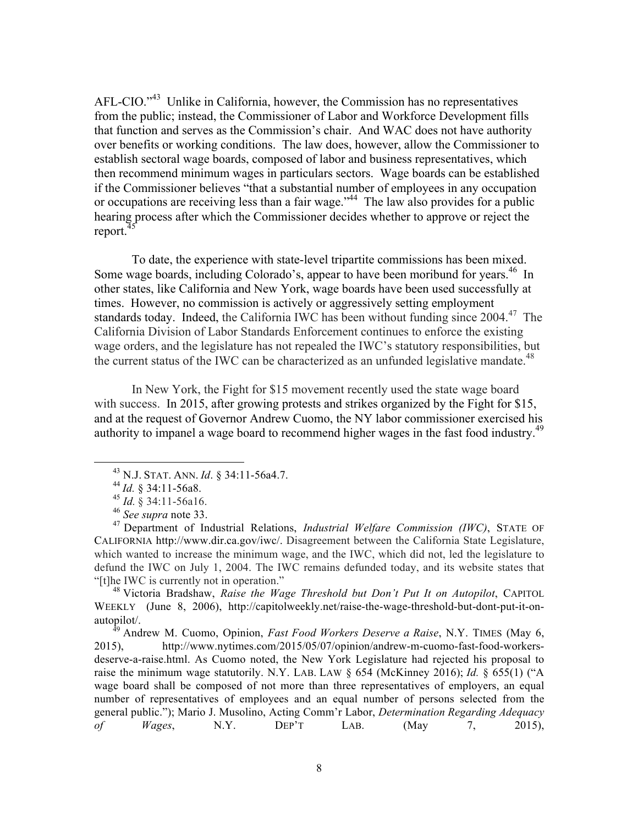AFL-CIO."<sup>43</sup> Unlike in California, however, the Commission has no representatives from the public; instead, the Commissioner of Labor and Workforce Development fills that function and serves as the Commission's chair. And WAC does not have authority over benefits or working conditions. The law does, however, allow the Commissioner to establish sectoral wage boards, composed of labor and business representatives, which then recommend minimum wages in particulars sectors. Wage boards can be established if the Commissioner believes "that a substantial number of employees in any occupation or occupations are receiving less than a fair wage.<sup>344</sup> The law also provides for a public hearing process after which the Commissioner decides whether to approve or reject the report.<sup>4</sup>

To date, the experience with state-level tripartite commissions has been mixed. Some wage boards, including Colorado's, appear to have been moribund for years.<sup>46</sup> In other states, like California and New York, wage boards have been used successfully at times. However, no commission is actively or aggressively setting employment standards today. Indeed, the California IWC has been without funding since  $2004<sup>47</sup>$ . The California Division of Labor Standards Enforcement continues to enforce the existing wage orders, and the legislature has not repealed the IWC's statutory responsibilities, but the current status of the IWC can be characterized as an unfunded legislative mandate.<sup>48</sup>

In New York, the Fight for \$15 movement recently used the state wage board with success. In 2015, after growing protests and strikes organized by the Fight for \$15, and at the request of Governor Andrew Cuomo, the NY labor commissioner exercised his authority to impanel a wage board to recommend higher wages in the fast food industry.<sup>49</sup>

 

<sup>48</sup> Victoria Bradshaw, *Raise the Wage Threshold but Don't Put It on Autopilot*, CAPITOL WEEKLY (June 8, 2006), http://capitolweekly.net/raise-the-wage-threshold-but-dont-put-it-onautopilot/.

<sup>49</sup> Andrew M. Cuomo, Opinion, *Fast Food Workers Deserve a Raise*, N.Y. TIMES (May 6, 2015), http://www.nytimes.com/2015/05/07/opinion/andrew-m-cuomo-fast-food-workersdeserve-a-raise.html. As Cuomo noted, the New York Legislature had rejected his proposal to raise the minimum wage statutorily. N.Y. LAB. LAW § 654 (McKinney 2016); *Id.* § 655(1) ("A wage board shall be composed of not more than three representatives of employers, an equal number of representatives of employees and an equal number of persons selected from the general public."); Mario J. Musolino, Acting Comm'r Labor, *Determination Regarding Adequacy of Wages*, N.Y. DEP'T LAB. (May 7, 2015),

<sup>43</sup> N.J. STAT. ANN. *Id*. § 34:11-56a4.7.

<sup>44</sup> *Id.* § 34:11-56a8.

<sup>&</sup>lt;sup>45</sup> *Id.* § 34:11-56a16.<br><sup>46</sup> *See supra* note 33.

<sup>&</sup>lt;sup>47</sup> Department of Industrial Relations, *Industrial Welfare Commission (IWC)*, STATE OF CALIFORNIA http://www.dir.ca.gov/iwc/. Disagreement between the California State Legislature, which wanted to increase the minimum wage, and the IWC, which did not, led the legislature to defund the IWC on July 1, 2004. The IWC remains defunded today, and its website states that "[t]he IWC is currently not in operation."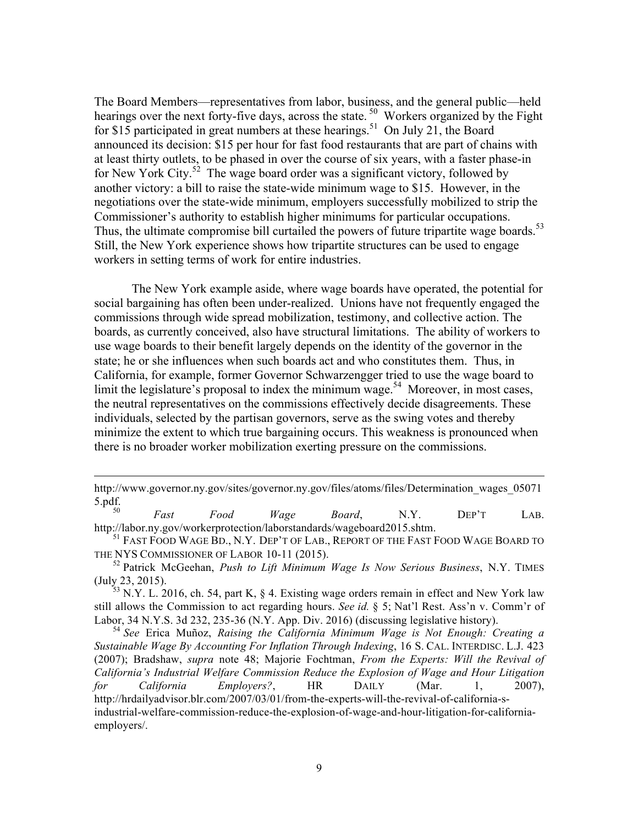The Board Members—representatives from labor, business, and the general public—held hearings over the next forty-five days, across the state.<sup>50</sup> Workers organized by the Fight for \$15 participated in great numbers at these hearings.<sup>51</sup> On July 21, the Board announced its decision: \$15 per hour for fast food restaurants that are part of chains with at least thirty outlets, to be phased in over the course of six years, with a faster phase-in for New York City.<sup>52</sup> The wage board order was a significant victory, followed by another victory: a bill to raise the state-wide minimum wage to \$15. However, in the negotiations over the state-wide minimum, employers successfully mobilized to strip the Commissioner's authority to establish higher minimums for particular occupations. Thus, the ultimate compromise bill curtailed the powers of future tripartite wage boards.<sup>53</sup> Still, the New York experience shows how tripartite structures can be used to engage workers in setting terms of work for entire industries.

The New York example aside, where wage boards have operated, the potential for social bargaining has often been under-realized. Unions have not frequently engaged the commissions through wide spread mobilization, testimony, and collective action. The boards, as currently conceived, also have structural limitations. The ability of workers to use wage boards to their benefit largely depends on the identity of the governor in the state; he or she influences when such boards act and who constitutes them. Thus, in California, for example, former Governor Schwarzengger tried to use the wage board to limit the legislature's proposal to index the minimum wage.<sup>54</sup> Moreover, in most cases, the neutral representatives on the commissions effectively decide disagreements. These individuals, selected by the partisan governors, serve as the swing votes and thereby minimize the extent to which true bargaining occurs. This weakness is pronounced when there is no broader worker mobilization exerting pressure on the commissions.

<u> 1989 - Andrea Santa Andrea Andrea Andrea Andrea Andrea Andrea Andrea Andrea Andrea Andrea Andrea Andrea Andr</u>

http://www.governor.ny.gov/sites/governor.ny.gov/files/atoms/files/Determination\_wages\_05071 5.pdf.<br> $\frac{5.}{50}$ 

<sup>50</sup> *Fast Food Wage Board*, N.Y. DEP'T LAB. http://labor.ny.gov/workerprotection/laborstandards/wageboard2015.shtm.

<sup>51</sup> FAST FOOD WAGE BD., N.Y. DEP'T OF LAB., REPORT OF THE FAST FOOD WAGE BOARD TO THE NYS COMMISSIONER OF LABOR 10-11 (2015).

<sup>52</sup> Patrick McGeehan, *Push to Lift Minimum Wage Is Now Serious Business*, N.Y. TIMES (July 23, 2015).

 $^{53}$  N.Y. L. 2016, ch. 54, part K,  $\&$  4. Existing wage orders remain in effect and New York law still allows the Commission to act regarding hours. *See id.* § 5; Nat'l Rest. Ass'n v. Comm'r of Labor, 34 N.Y.S. 3d 232, 235-36 (N.Y. App. Div. 2016) (discussing legislative history).

<sup>54</sup> *See* Erica Muñoz, *Raising the California Minimum Wage is Not Enough: Creating a Sustainable Wage By Accounting For Inflation Through Indexing*, 16 S. CAL. INTERDISC. L.J. 423 (2007); Bradshaw, *supra* note 48; Majorie Fochtman, *From the Experts: Will the Revival of California's Industrial Welfare Commission Reduce the Explosion of Wage and Hour Litigation for California Employers?*, HR DAILY (Mar. 1, 2007), http://hrdailyadvisor.blr.com/2007/03/01/from-the-experts-will-the-revival-of-california-sindustrial-welfare-commission-reduce-the-explosion-of-wage-and-hour-litigation-for-californiaemployers/.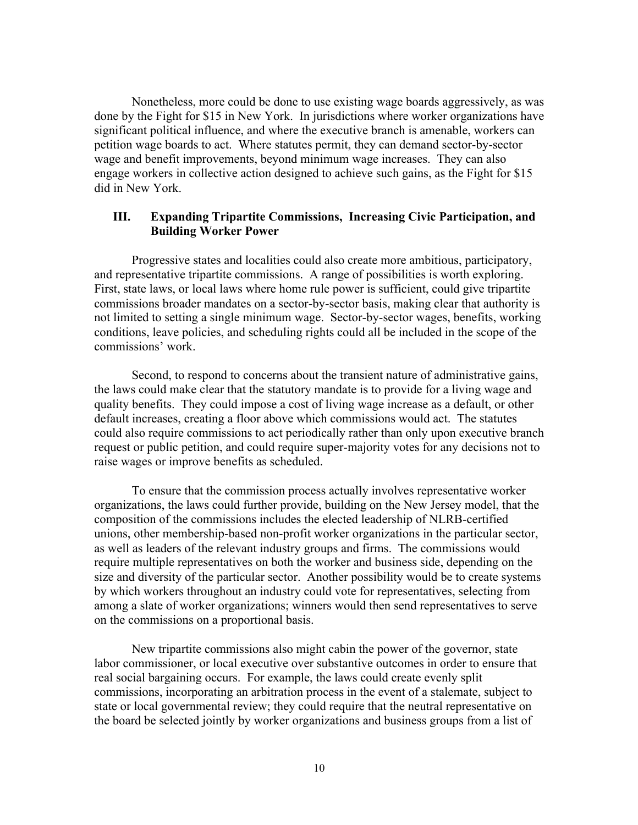Nonetheless, more could be done to use existing wage boards aggressively, as was done by the Fight for \$15 in New York. In jurisdictions where worker organizations have significant political influence, and where the executive branch is amenable, workers can petition wage boards to act. Where statutes permit, they can demand sector-by-sector wage and benefit improvements, beyond minimum wage increases. They can also engage workers in collective action designed to achieve such gains, as the Fight for \$15 did in New York.

#### **III. Expanding Tripartite Commissions, Increasing Civic Participation, and Building Worker Power**

Progressive states and localities could also create more ambitious, participatory, and representative tripartite commissions. A range of possibilities is worth exploring. First, state laws, or local laws where home rule power is sufficient, could give tripartite commissions broader mandates on a sector-by-sector basis, making clear that authority is not limited to setting a single minimum wage. Sector-by-sector wages, benefits, working conditions, leave policies, and scheduling rights could all be included in the scope of the commissions' work.

Second, to respond to concerns about the transient nature of administrative gains, the laws could make clear that the statutory mandate is to provide for a living wage and quality benefits. They could impose a cost of living wage increase as a default, or other default increases, creating a floor above which commissions would act. The statutes could also require commissions to act periodically rather than only upon executive branch request or public petition, and could require super-majority votes for any decisions not to raise wages or improve benefits as scheduled.

To ensure that the commission process actually involves representative worker organizations, the laws could further provide, building on the New Jersey model, that the composition of the commissions includes the elected leadership of NLRB-certified unions, other membership-based non-profit worker organizations in the particular sector, as well as leaders of the relevant industry groups and firms. The commissions would require multiple representatives on both the worker and business side, depending on the size and diversity of the particular sector. Another possibility would be to create systems by which workers throughout an industry could vote for representatives, selecting from among a slate of worker organizations; winners would then send representatives to serve on the commissions on a proportional basis.

New tripartite commissions also might cabin the power of the governor, state labor commissioner, or local executive over substantive outcomes in order to ensure that real social bargaining occurs. For example, the laws could create evenly split commissions, incorporating an arbitration process in the event of a stalemate, subject to state or local governmental review; they could require that the neutral representative on the board be selected jointly by worker organizations and business groups from a list of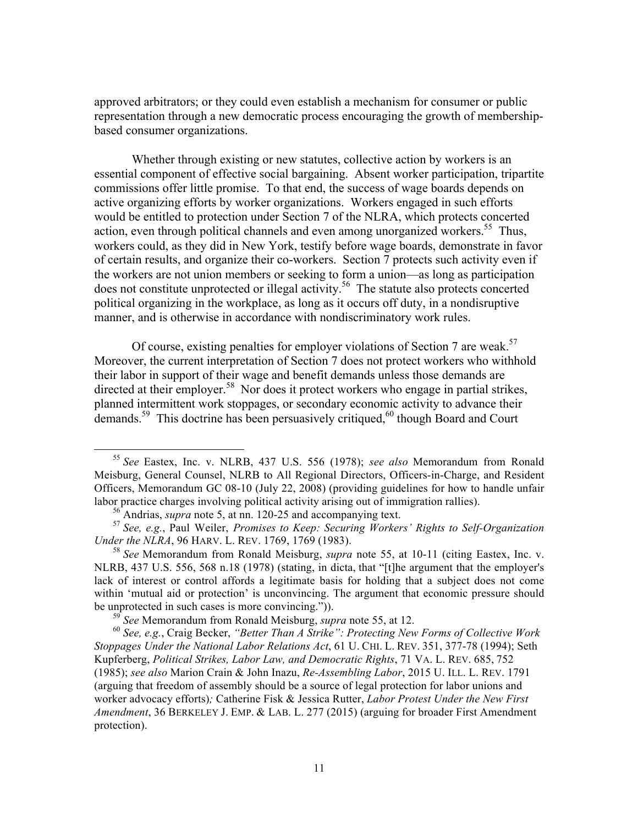approved arbitrators; or they could even establish a mechanism for consumer or public representation through a new democratic process encouraging the growth of membershipbased consumer organizations.

Whether through existing or new statutes, collective action by workers is an essential component of effective social bargaining. Absent worker participation, tripartite commissions offer little promise. To that end, the success of wage boards depends on active organizing efforts by worker organizations. Workers engaged in such efforts would be entitled to protection under Section 7 of the NLRA, which protects concerted action, even through political channels and even among unorganized workers. <sup>55</sup> Thus, workers could, as they did in New York, testify before wage boards, demonstrate in favor of certain results, and organize their co-workers. Section 7 protects such activity even if the workers are not union members or seeking to form a union—as long as participation does not constitute unprotected or illegal activity.<sup>56</sup> The statute also protects concerted political organizing in the workplace, as long as it occurs off duty, in a nondisruptive manner, and is otherwise in accordance with nondiscriminatory work rules.

Of course, existing penalties for employer violations of Section 7 are weak.<sup>57</sup> Moreover, the current interpretation of Section 7 does not protect workers who withhold their labor in support of their wage and benefit demands unless those demands are directed at their employer.<sup>58</sup> Nor does it protect workers who engage in partial strikes, planned intermittent work stoppages, or secondary economic activity to advance their demands.<sup>59</sup> This doctrine has been persuasively critiqued,<sup>60</sup> though Board and Court

 <sup>55</sup> *See* Eastex, Inc. v. NLRB, 437 U.S. 556 (1978); *see also* Memorandum from Ronald Meisburg, General Counsel, NLRB to All Regional Directors, Officers-in-Charge, and Resident Officers, Memorandum GC 08-10 (July 22, 2008) (providing guidelines for how to handle unfair labor practice charges involving political activity arising out of immigration rallies).

<sup>56</sup> Andrias, *supra* note 5, at nn. 120-25 and accompanying text.

<sup>57</sup> *See, e.g.*, Paul Weiler, *Promises to Keep: Securing Workers' Rights to Self-Organization Under the NLRA*, 96 HARV. L. REV. 1769, 1769 (1983).

<sup>58</sup> *See* Memorandum from Ronald Meisburg, *supra* note 55, at 10-11 (citing Eastex, Inc. v. NLRB, 437 U.S. 556, 568 n.18 (1978) (stating, in dicta, that "[t]he argument that the employer's lack of interest or control affords a legitimate basis for holding that a subject does not come within 'mutual aid or protection' is unconvincing. The argument that economic pressure should be unprotected in such cases is more convincing.")). 59 *See* Memorandum from Ronald Meisburg, *supra* note 55, at 12.

<sup>60</sup> *See, e.g.*, Craig Becker, *"Better Than A Strike": Protecting New Forms of Collective Work Stoppages Under the National Labor Relations Act*, 61 U. CHI. L. REV. 351, 377-78 (1994); Seth Kupferberg, *Political Strikes, Labor Law, and Democratic Rights*, 71 VA. L. REV. 685, 752 (1985); *see also* Marion Crain & John Inazu, *Re-Assembling Labor*, 2015 U. ILL. L. REV. 1791 (arguing that freedom of assembly should be a source of legal protection for labor unions and worker advocacy efforts)*;* Catherine Fisk & Jessica Rutter, *Labor Protest Under the New First Amendment*, 36 BERKELEY J. EMP. & LAB. L. 277 (2015) (arguing for broader First Amendment protection).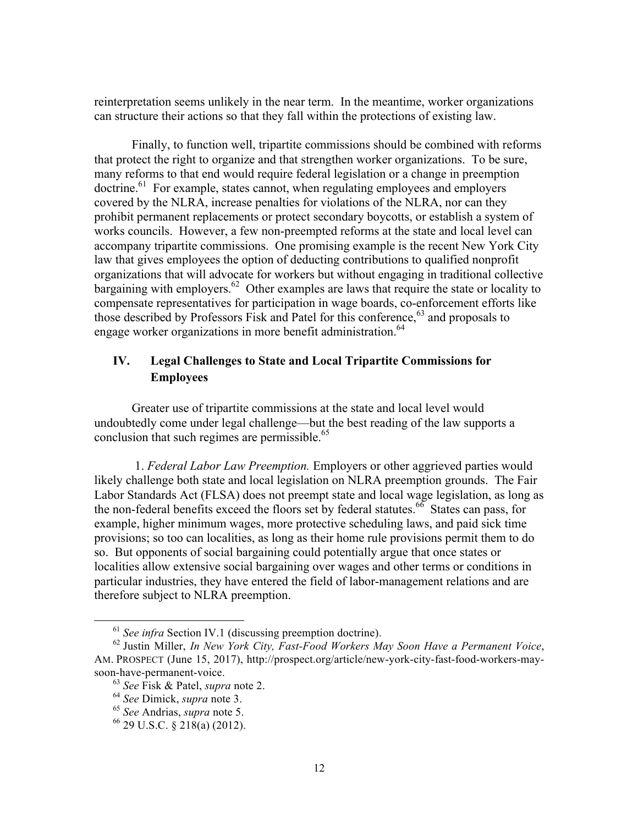reinterpretation seems unlikely in the near term. In the meantime, worker organizations can structure their actions so that they fall within the protections of existing law.

Finally, to function well, tripartite commissions should be combined with reforms that protect the right to organize and that strengthen worker organizations. To be sure, many reforms to that end would require federal legislation or a change in preemption doctrine. 61 For example, states cannot, when regulating employees and employers covered by the NLRA, increase penalties for violations of the NLRA, nor can they prohibit permanent replacements or protect secondary boycotts, or establish a system of works councils. However, a few non-preempted reforms at the state and local level can accompany tripartite commissions. One promising example is the recent New York City law that gives employees the option of deducting contributions to qualified nonprofit organizations that will advocate for workers but without engaging in traditional collective bargaining with employers.<sup>62</sup> Other examples are laws that require the state or locality to compensate representatives for participation in wage boards, co-enforcement efforts like those described by Professors Fisk and Patel for this conference,<sup>63</sup> and proposals to engage worker organizations in more benefit administration.<sup>64</sup>

# **IV. Legal Challenges to State and Local Tripartite Commissions for Employees**

Greater use of tripartite commissions at the state and local level would undoubtedly come under legal challenge—but the best reading of the law supports a conclusion that such regimes are permissible. 65

1. *Federal Labor Law Preemption.* Employers or other aggrieved parties would likely challenge both state and local legislation on NLRA preemption grounds. The Fair Labor Standards Act (FLSA) does not preempt state and local wage legislation, as long as the non-federal benefits exceed the floors set by federal statutes.<sup>66</sup> States can pass, for example, higher minimum wages, more protective scheduling laws, and paid sick time provisions; so too can localities, as long as their home rule provisions permit them to do so. But opponents of social bargaining could potentially argue that once states or localities allow extensive social bargaining over wages and other terms or conditions in particular industries, they have entered the field of labor-management relations and are therefore subject to NLRA preemption.

 <sup>61</sup> *See infra* Section IV.1 (discussing preemption doctrine).

<sup>62</sup> Justin Miller, *In New York City, Fast-Food Workers May Soon Have a Permanent Voice*, AM. PROSPECT (June 15, 2017), http://prospect.org/article/new-york-city-fast-food-workers-maysoon-have-permanent-voice.<br><sup>63</sup> See Fisk & Patel, *supra* note 2.

<sup>63</sup> *See* Fisk & Patel, *supra* note 2. <sup>64</sup> *See* Dimick, *supra* note 3. <sup>65</sup> *See* Andrias, *supra* note 5.

 $66$  29 U.S.C. § 218(a) (2012).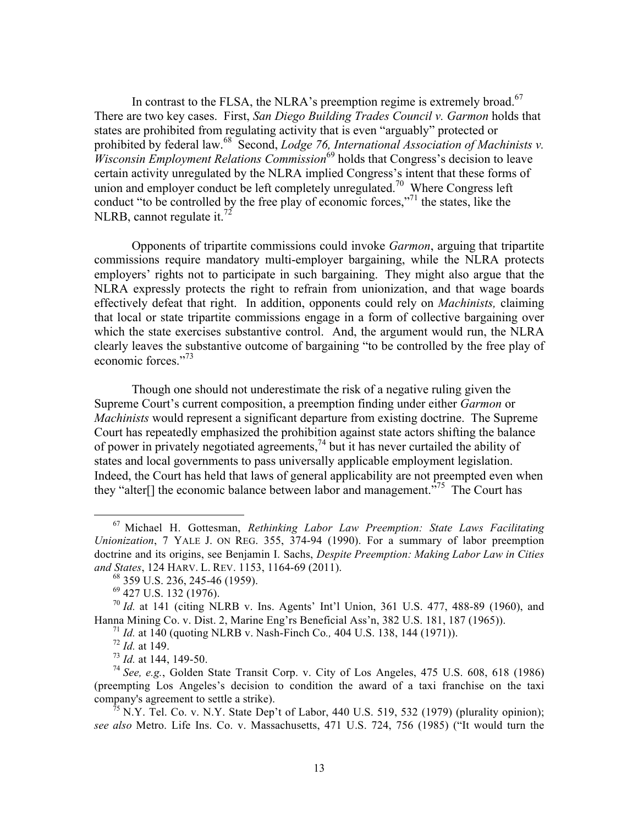In contrast to the FLSA, the NLRA's preemption regime is extremely broad.<sup>67</sup> There are two key cases. First, *San Diego Building Trades Council v. Garmon* holds that states are prohibited from regulating activity that is even "arguably" protected or prohibited by federal law.<sup>68</sup> Second, *Lodge 76, International Association of Machinists v. Wisconsin Employment Relations Commission*<sup>69</sup> holds that Congress's decision to leave certain activity unregulated by the NLRA implied Congress's intent that these forms of union and employer conduct be left completely unregulated.<sup>70</sup> Where Congress left conduct "to be controlled by the free play of economic forces,"<sup>71</sup> the states, like the NLRB, cannot regulate it. $^{72}$ 

Opponents of tripartite commissions could invoke *Garmon*, arguing that tripartite commissions require mandatory multi-employer bargaining, while the NLRA protects employers' rights not to participate in such bargaining. They might also argue that the NLRA expressly protects the right to refrain from unionization, and that wage boards effectively defeat that right. In addition, opponents could rely on *Machinists,* claiming that local or state tripartite commissions engage in a form of collective bargaining over which the state exercises substantive control. And, the argument would run, the NLRA clearly leaves the substantive outcome of bargaining "to be controlled by the free play of economic forces."<sup>73</sup>

Though one should not underestimate the risk of a negative ruling given the Supreme Court's current composition, a preemption finding under either *Garmon* or *Machinists* would represent a significant departure from existing doctrine. The Supreme Court has repeatedly emphasized the prohibition against state actors shifting the balance of power in privately negotiated agreements,<sup>74</sup> but it has never curtailed the ability of states and local governments to pass universally applicable employment legislation. Indeed, the Court has held that laws of general applicability are not preempted even when they "alter<sup>[]</sup> the economic balance between labor and management.<sup> $375$ </sup> The Court has

<sup>67</sup> Michael H. Gottesman, *Rethinking Labor Law Preemption: State Laws Facilitating Unionization*, 7 YALE J. ON REG. 355, 374-94 (1990). For a summary of labor preemption doctrine and its origins, see Benjamin I. Sachs, *Despite Preemption: Making Labor Law in Cities and States*, 124 HARV. L. REV. 1153, 1164-69 (2011).

<sup>68</sup> 359 U.S. 236, 245-46 (1959).

<sup>69</sup> 427 U.S. 132 (1976).

<sup>70</sup> *Id.* at 141 (citing NLRB v. Ins. Agents' Int'l Union, 361 U.S. 477, 488-89 (1960), and Hanna Mining Co. v. Dist. 2, Marine Eng'rs Beneficial Ass'n, 382 U.S. 181, 187 (1965)).

<sup>71</sup> *Id.* at 140 (quoting NLRB v. Nash-Finch Co*.,* 404 U.S. 138, 144 (1971)).

<sup>72</sup> *Id.* at 149.

<sup>73</sup> *Id.* at 144, 149-50.

<sup>74</sup> *See, e.g.*, Golden State Transit Corp. v. City of Los Angeles, 475 U.S. 608, 618 (1986) (preempting Los Angeles's decision to condition the award of a taxi franchise on the taxi company's agreement to settle a strike).

 $^{75}$  N.Y. Tel. Co. v. N.Y. State Dep't of Labor, 440 U.S. 519, 532 (1979) (plurality opinion): *see also* Metro. Life Ins. Co. v. Massachusetts, 471 U.S. 724, 756 (1985) ("It would turn the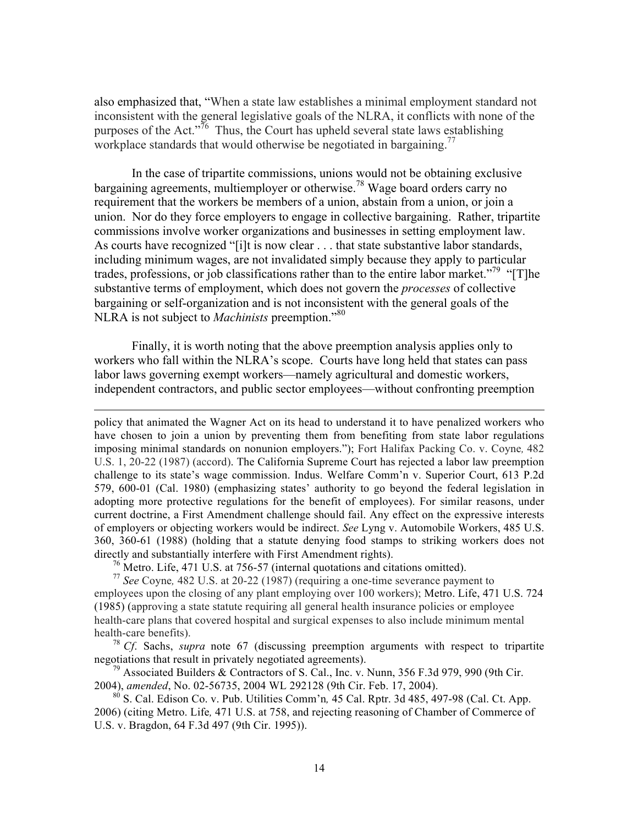also emphasized that, "When a state law establishes a minimal employment standard not inconsistent with the general legislative goals of the NLRA, it conflicts with none of the purposes of the Act."<sup>76</sup> Thus, the Court has upheld several state laws establishing workplace standards that would otherwise be negotiated in bargaining.<sup>77</sup>

In the case of tripartite commissions, unions would not be obtaining exclusive bargaining agreements, multiemployer or otherwise.<sup>78</sup> Wage board orders carry no requirement that the workers be members of a union, abstain from a union, or join a union. Nor do they force employers to engage in collective bargaining. Rather, tripartite commissions involve worker organizations and businesses in setting employment law. As courts have recognized "[i]t is now clear . . . that state substantive labor standards, including minimum wages, are not invalidated simply because they apply to particular trades, professions, or job classifications rather than to the entire labor market.<sup>"79</sup> "[T]he substantive terms of employment, which does not govern the *processes* of collective bargaining or self-organization and is not inconsistent with the general goals of the NLRA is not subject to *Machinists* preemption."<sup>80</sup>

Finally, it is worth noting that the above preemption analysis applies only to workers who fall within the NLRA's scope. Courts have long held that states can pass labor laws governing exempt workers—namely agricultural and domestic workers, independent contractors, and public sector employees—without confronting preemption

<u> 1989 - Andrea San Andrea San Andrea San Andrea San Andrea San Andrea San Andrea San Andrea San Andrea San An</u>

policy that animated the Wagner Act on its head to understand it to have penalized workers who have chosen to join a union by preventing them from benefiting from state labor regulations imposing minimal standards on nonunion employers."); Fort Halifax Packing Co. v. Coyne*,* 482 U.S. 1, 20-22 (1987) (accord). The California Supreme Court has rejected a labor law preemption challenge to its state's wage commission. Indus. Welfare Comm'n v. Superior Court, 613 P.2d 579, 600-01 (Cal. 1980) (emphasizing states' authority to go beyond the federal legislation in adopting more protective regulations for the benefit of employees). For similar reasons, under current doctrine, a First Amendment challenge should fail. Any effect on the expressive interests of employers or objecting workers would be indirect. *See* Lyng v. Automobile Workers, 485 U.S. 360, 360-61 (1988) (holding that a statute denying food stamps to striking workers does not directly and substantially interfere with First Amendment rights).

 $^{76}$  Metro. Life, 471 U.S. at 756-57 (internal quotations and citations omitted).

<sup>77</sup> *See* Coyne*,* 482 U.S. at 20-22 (1987) (requiring a one-time severance payment to employees upon the closing of any plant employing over 100 workers); Metro. Life, 471 U.S. 724 (1985) (approving a state statute requiring all general health insurance policies or employee health-care plans that covered hospital and surgical expenses to also include minimum mental health-care benefits).<br><sup>78</sup> *Cf*. Sachs, *supra* note 67 (discussing preemption arguments with respect to tripartite

negotiations that result in privately negotiated agreements).

<sup>79</sup> Associated Builders & Contractors of S. Cal., Inc. v. Nunn, 356 F.3d 979, 990 (9th Cir. 2004), *amended*, No. 02-56735, 2004 WL 292128 (9th Cir. Feb. 17, 2004).

<sup>80</sup> S. Cal. Edison Co. v. Pub. Utilities Comm'n*,* 45 Cal. Rptr. 3d 485, 497-98 (Cal. Ct. App. 2006) (citing Metro. Life*,* 471 U.S. at 758, and rejecting reasoning of Chamber of Commerce of U.S. v. Bragdon, 64 F.3d 497 (9th Cir. 1995)).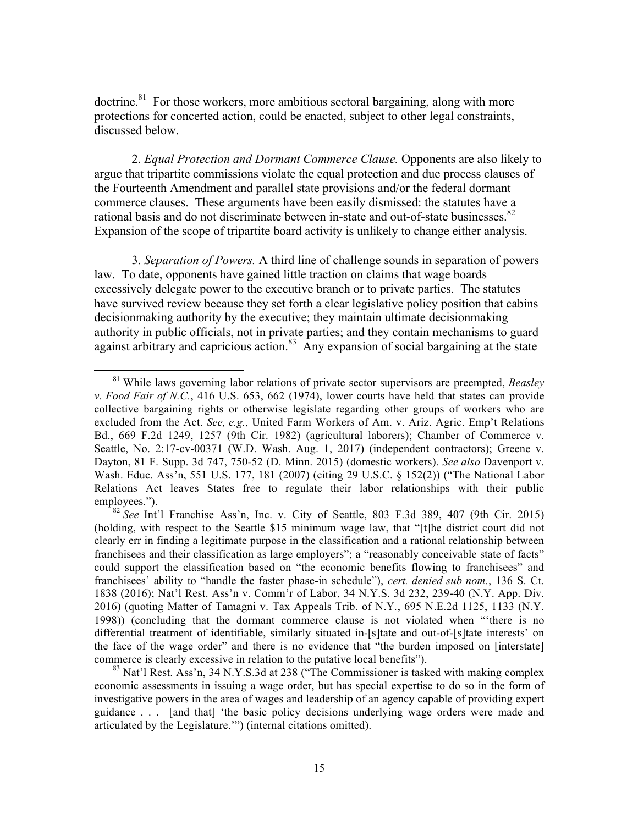$\alpha$  about time.<sup>81</sup> For those workers, more ambitious sectoral bargaining, along with more protections for concerted action, could be enacted, subject to other legal constraints, discussed below.

2. *Equal Protection and Dormant Commerce Clause.* Opponents are also likely to argue that tripartite commissions violate the equal protection and due process clauses of the Fourteenth Amendment and parallel state provisions and/or the federal dormant commerce clauses. These arguments have been easily dismissed: the statutes have a rational basis and do not discriminate between in-state and out-of-state businesses.<sup>82</sup> Expansion of the scope of tripartite board activity is unlikely to change either analysis.

3. *Separation of Powers.* A third line of challenge sounds in separation of powers law. To date, opponents have gained little traction on claims that wage boards excessively delegate power to the executive branch or to private parties. The statutes have survived review because they set forth a clear legislative policy position that cabins decisionmaking authority by the executive; they maintain ultimate decisionmaking authority in public officials, not in private parties; and they contain mechanisms to guard against arbitrary and capricious action.<sup>83</sup> Any expansion of social bargaining at the state

<sup>81</sup> While laws governing labor relations of private sector supervisors are preempted, *Beasley v. Food Fair of N.C.*, 416 U.S. 653, 662 (1974), lower courts have held that states can provide collective bargaining rights or otherwise legislate regarding other groups of workers who are excluded from the Act. *See, e.g.*, United Farm Workers of Am. v. Ariz. Agric. Emp't Relations Bd., 669 F.2d 1249, 1257 (9th Cir. 1982) (agricultural laborers); Chamber of Commerce v. Seattle, No. 2:17-cv-00371 (W.D. Wash. Aug. 1, 2017) (independent contractors); Greene v. Dayton, 81 F. Supp. 3d 747, 750-52 (D. Minn. 2015) (domestic workers). *See also* Davenport v. Wash. Educ. Ass'n, 551 U.S. 177, 181 (2007) (citing 29 U.S.C. § 152(2)) ("The National Labor Relations Act leaves States free to regulate their labor relationships with their public employees.").

<sup>82</sup> *See* Int'l Franchise Ass'n, Inc. v. City of Seattle, 803 F.3d 389, 407 (9th Cir. 2015) (holding, with respect to the Seattle \$15 minimum wage law, that "[t]he district court did not clearly err in finding a legitimate purpose in the classification and a rational relationship between franchisees and their classification as large employers"; a "reasonably conceivable state of facts" could support the classification based on "the economic benefits flowing to franchisees" and franchisees' ability to "handle the faster phase-in schedule"), *cert. denied sub nom.*, 136 S. Ct. 1838 (2016); Nat'l Rest. Ass'n v. Comm'r of Labor, 34 N.Y.S. 3d 232, 239-40 (N.Y. App. Div. 2016) (quoting Matter of Tamagni v. Tax Appeals Trib. of N.Y*.*, 695 N.E.2d 1125, 1133 (N.Y. 1998)) (concluding that the dormant commerce clause is not violated when "'there is no differential treatment of identifiable, similarly situated in-[s]tate and out-of-[s]tate interests' on the face of the wage order" and there is no evidence that "the burden imposed on [interstate] commerce is clearly excessive in relation to the putative local benefits").

<sup>&</sup>lt;sup>83</sup> Nat'l Rest. Ass'n, 34 N.Y.S.3d at 238 ("The Commissioner is tasked with making complex economic assessments in issuing a wage order, but has special expertise to do so in the form of investigative powers in the area of wages and leadership of an agency capable of providing expert guidance . . . [and that] 'the basic policy decisions underlying wage orders were made and articulated by the Legislature.'") (internal citations omitted).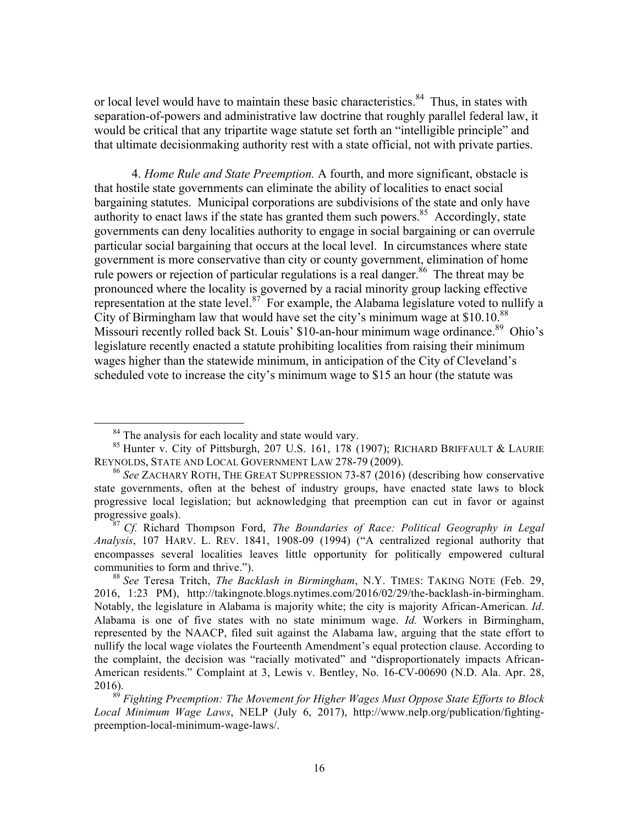or local level would have to maintain these basic characteristics.<sup>84</sup> Thus, in states with separation-of-powers and administrative law doctrine that roughly parallel federal law, it would be critical that any tripartite wage statute set forth an "intelligible principle" and that ultimate decisionmaking authority rest with a state official, not with private parties.

4. *Home Rule and State Preemption.* A fourth, and more significant, obstacle is that hostile state governments can eliminate the ability of localities to enact social bargaining statutes. Municipal corporations are subdivisions of the state and only have authority to enact laws if the state has granted them such powers.<sup>85</sup> Accordingly, state governments can deny localities authority to engage in social bargaining or can overrule particular social bargaining that occurs at the local level. In circumstances where state government is more conservative than city or county government, elimination of home rule powers or rejection of particular regulations is a real danger.<sup>86</sup> The threat may be pronounced where the locality is governed by a racial minority group lacking effective representation at the state level. $87$  For example, the Alabama legislature voted to nullify a City of Birmingham law that would have set the city's minimum wage at  $$10.10<sup>88</sup>$ Missouri recently rolled back St. Louis' \$10-an-hour minimum wage ordinance.<sup>89</sup> Ohio's legislature recently enacted a statute prohibiting localities from raising their minimum wages higher than the statewide minimum, in anticipation of the City of Cleveland's scheduled vote to increase the city's minimum wage to \$15 an hour (the statute was

<sup>&</sup>lt;sup>84</sup> The analysis for each locality and state would vary.

<sup>85</sup> Hunter v. City of Pittsburgh, 207 U.S. 161, 178 (1907); RICHARD BRIFFAULT & LAURIE REYNOLDS, STATE AND LOCAL GOVERNMENT LAW 278-79 (2009).<br><sup>86</sup> *See ZACHARY ROTH*, THE GREAT SUPPRESSION 73-87 (2016) (describing how conservative

state governments, often at the behest of industry groups, have enacted state laws to block progressive local legislation; but acknowledging that preemption can cut in favor or against progressive goals).

<sup>87</sup> *Cf.* Richard Thompson Ford, *The Boundaries of Race: Political Geography in Legal Analysis*, 107 HARV. L. REV. 1841, 1908-09 (1994) ("A centralized regional authority that encompasses several localities leaves little opportunity for politically empowered cultural communities to form and thrive.").

<sup>88</sup> *See* Teresa Tritch, *The Backlash in Birmingham*, N.Y. TIMES: TAKING NOTE (Feb. 29, 2016, 1:23 PM), http://takingnote.blogs.nytimes.com/2016/02/29/the-backlash-in-birmingham. Notably, the legislature in Alabama is majority white; the city is majority African-American. *Id*. Alabama is one of five states with no state minimum wage. *Id.* Workers in Birmingham, represented by the NAACP, filed suit against the Alabama law, arguing that the state effort to nullify the local wage violates the Fourteenth Amendment's equal protection clause. According to the complaint, the decision was "racially motivated" and "disproportionately impacts African-American residents." Complaint at 3, Lewis v. Bentley, No. 16-CV-00690 (N.D. Ala. Apr. 28, 2016).

<sup>89</sup> *Fighting Preemption: The Movement for Higher Wages Must Oppose State Efforts to Block Local Minimum Wage Laws*, NELP (July 6, 2017), http://www.nelp.org/publication/fightingpreemption-local-minimum-wage-laws/.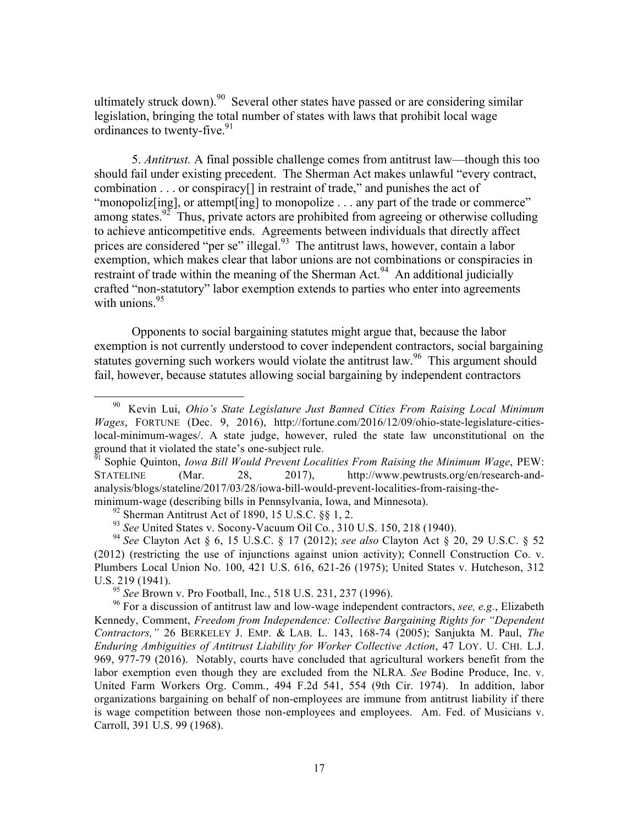ultimately struck down).<sup>90</sup> Several other states have passed or are considering similar legislation, bringing the total number of states with laws that prohibit local wage ordinances to twenty-five. 91

5. *Antitrust.* A final possible challenge comes from antitrust law—though this too should fail under existing precedent. The Sherman Act makes unlawful "every contract, combination . . . or conspiracy[] in restraint of trade," and punishes the act of "monopolizeting], or attempt [ing] to monopolize . . . any part of the trade or commerce" among states.<sup>92</sup> Thus, private actors are prohibited from agreeing or otherwise colluding to achieve anticompetitive ends. Agreements between individuals that directly affect prices are considered "per se" illegal.<sup>93</sup> The antitrust laws, however, contain a labor exemption, which makes clear that labor unions are not combinations or conspiracies in restraint of trade within the meaning of the Sherman Act.<sup>94</sup> An additional judicially crafted "non-statutory" labor exemption extends to parties who enter into agreements with unions.  $95$ 

Opponents to social bargaining statutes might argue that, because the labor exemption is not currently understood to cover independent contractors, social bargaining statutes governing such workers would violate the antitrust law.<sup>96</sup> This argument should fail, however, because statutes allowing social bargaining by independent contractors

<sup>95</sup> *See* Brown v. Pro Football, Inc*.*, 518 U.S. 231, 237 (1996).

 90 Kevin Lui, *Ohio's State Legislature Just Banned Cities From Raising Local Minimum Wages*, FORTUNE (Dec. 9, 2016), http://fortune.com/2016/12/09/ohio-state-legislature-citieslocal-minimum-wages/. A state judge, however, ruled the state law unconstitutional on the ground that it violated the state's one-subject rule.

<sup>&</sup>lt;sup>51</sup> Sophie Quinton, *Iowa Bill Would Prevent Localities From Raising the Minimum Wage*, PEW: STATELINE (Mar. 28, 2017), http://www.pewtrusts.org/en/research-andanalysis/blogs/stateline/2017/03/28/iowa-bill-would-prevent-localities-from-raising-theminimum-wage (describing bills in Pennsylvania, Iowa, and Minnesota).

 $92$  Sherman Antitrust Act of 1890, 15 U.S.C.  $88$  1, 2.

<sup>93</sup> *See* United States v. Socony-Vacuum Oil Co*.*, 310 U.S. 150, 218 (1940).

<sup>94</sup> *See* Clayton Act § 6, 15 U.S.C. § 17 (2012); *see also* Clayton Act § 20, 29 U.S.C. § 52 (2012) (restricting the use of injunctions against union activity); Connell Construction Co. v. Plumbers Local Union No. 100, 421 U.S. 616, 621-26 (1975); United States v. Hutcheson, 312 U.S. 219 (1941).

<sup>96</sup> For a discussion of antitrust law and low-wage independent contractors, *see, e.g.*, Elizabeth Kennedy, Comment, *Freedom from Independence: Collective Bargaining Rights for "Dependent Contractors,"* 26 BERKELEY J. EMP. & LAB. L. 143, 168-74 (2005); Sanjukta M. Paul, *The Enduring Ambiguities of Antitrust Liability for Worker Collective Action*, 47 LOY. U. CHI. L.J. 969, 977-79 (2016). Notably, courts have concluded that agricultural workers benefit from the labor exemption even though they are excluded from the NLRA*. See* Bodine Produce, Inc. v. United Farm Workers Org. Comm*.*, 494 F.2d 541, 554 (9th Cir. 1974). In addition, labor organizations bargaining on behalf of non-employees are immune from antitrust liability if there is wage competition between those non-employees and employees. Am. Fed. of Musicians v. Carroll, 391 U.S. 99 (1968).